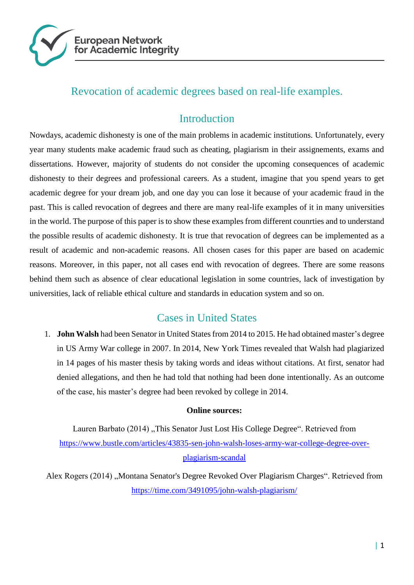

# Revocation of academic degrees based on real-life examples.

# **Introduction**

Nowdays, academic dishonesty is one of the main problems in academic institutions. Unfortunately, every year many students make academic fraud such as cheating, plagiarism in their assignements, exams and dissertations. However, majority of students do not consider the upcoming consequences of academic dishonesty to their degrees and professional careers. As a student, imagine that you spend years to get academic degree for your dream job, and one day you can lose it because of your academic fraud in the past. This is called revocation of degrees and there are many real-life examples of it in many universities in the world. The purpose of this paper is to show these examples from different counrties and to understand the possible results of academic dishonesty. It is true that revocation of degrees can be implemented as a result of academic and non-academic reasons. All chosen cases for this paper are based on academic reasons. Moreover, in this paper, not all cases end with revocation of degrees. There are some reasons behind them such as absence of clear educational legislation in some countries, lack of investigation by universities, lack of reliable ethical culture and standards in education system and so on.

## Cases in United States

1. **John Walsh** had been Senator in United States from 2014 to 2015. He had obtained master's degree in US Army War college in 2007. In 2014, New York Times revealed that Walsh had plagiarized in 14 pages of his master thesis by taking words and ideas without citations. At first, senator had denied allegations, and then he had told that nothing had been done intentionally. As an outcome of the case, his master's degree had been revoked by college in 2014.

#### **Online sources:**

Lauren Barbato (2014) "This Senator Just Lost His College Degree". Retrieved from [https://www.bustle.com/articles/43835-sen-john-walsh-loses-army-war-college-degree-over](https://www.bustle.com/articles/43835-sen-john-walsh-loses-army-war-college-degree-over-plagiarism-scandal)[plagiarism-scandal](https://www.bustle.com/articles/43835-sen-john-walsh-loses-army-war-college-degree-over-plagiarism-scandal)

Alex Rogers (2014) "Montana Senator's Degree Revoked Over Plagiarism Charges". Retrieved from <https://time.com/3491095/john-walsh-plagiarism/>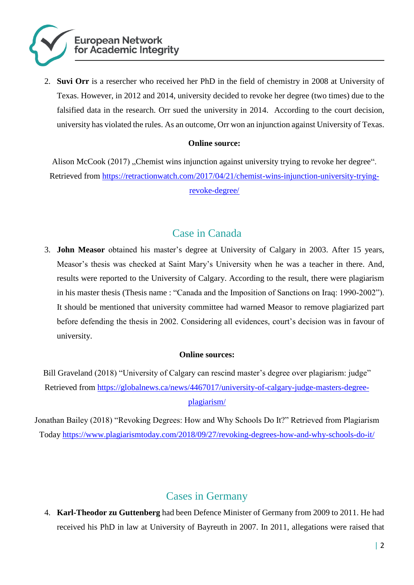

2. **Suvi Orr** is a resercher who received her PhD in the field of chemistry in 2008 at University of Texas. However, in 2012 and 2014, university decided to revoke her degree (two times) due to the falsified data in the research. Orr sued the university in 2014. According to the court decision, university has violated the rules. As an outcome, Orr won an injunction against University of Texas.

#### **Online source:**

Alison McCook (2017) "Chemist wins injunction against university trying to revoke her degree". Retrieved from [https://retractionwatch.com/2017/04/21/chemist-wins-injunction-university-trying](https://retractionwatch.com/2017/04/21/chemist-wins-injunction-university-trying-revoke-degree/)[revoke-degree/](https://retractionwatch.com/2017/04/21/chemist-wins-injunction-university-trying-revoke-degree/)

## Case in Canada

3. **John Measor** obtained his master's degree at University of Calgary in 2003. After 15 years, Measor's thesis was checked at Saint Mary's University when he was a teacher in there. And, results were reported to the University of Calgary. According to the result, there were plagiarism in his master thesis (Thesis name : "Canada and the Imposition of Sanctions on Iraq: 1990-2002"). It should be mentioned that university committee had warned Measor to remove plagiarized part before defending the thesis in 2002. Considering all evidences, court's decision was in favour of university.

#### **Online sources:**

Bill Graveland (2018) "University of Calgary can rescind master's degree over plagiarism: judge" Retrieved from [https://globalnews.ca/news/4467017/university-of-calgary-judge-masters-degree](https://globalnews.ca/news/4467017/university-of-calgary-judge-masters-degree-plagiarism/)[plagiarism/](https://globalnews.ca/news/4467017/university-of-calgary-judge-masters-degree-plagiarism/)

Jonathan Bailey (2018) "Revoking Degrees: How and Why Schools Do It?" Retrieved from Plagiarism Today<https://www.plagiarismtoday.com/2018/09/27/revoking-degrees-how-and-why-schools-do-it/>

# Cases in Germany

4. **Karl-Theodor zu Guttenberg** had been Defence Minister of Germany from 2009 to 2011. He had received his PhD in law at University of Bayreuth in 2007. In 2011, allegations were raised that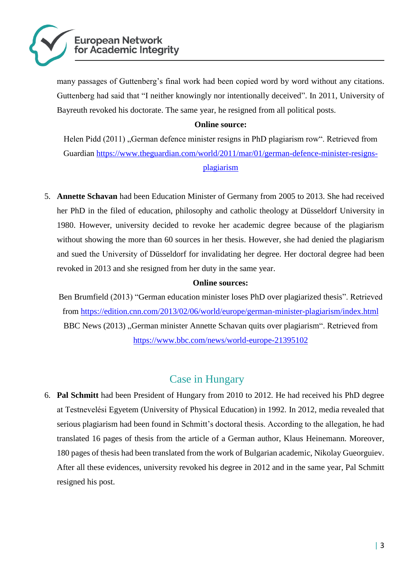

many passages of Guttenberg's final work had been copied word by word without any citations. Guttenberg had said that "I neither knowingly nor intentionally deceived". In 2011, University of Bayreuth revoked his doctorate. The same year, he resigned from all political posts.

#### **Online source:**

Helen Pidd (2011), German defence minister resigns in PhD plagiarism row". Retrieved from Guardian [https://www.theguardian.com/world/2011/mar/01/german-defence-minister-resigns](https://www.theguardian.com/world/2011/mar/01/german-defence-minister-resigns-plagiarism)[plagiarism](https://www.theguardian.com/world/2011/mar/01/german-defence-minister-resigns-plagiarism)

5. **Annette Schavan** had been Education Minister of Germany from 2005 to 2013. She had received her PhD in the filed of education, philosophy and catholic theology at Düsseldorf University in 1980. However, university decided to revoke her academic degree because of the plagiarism without showing the more than 60 sources in her thesis. However, she had denied the plagiarism and sued the University of Düsseldorf for invalidating her degree. Her doctoral degree had been revoked in 2013 and she resigned from her duty in the same year.

#### **Online sources:**

Ben Brumfield (2013) "German education minister loses PhD over plagiarized thesis". Retrieved from<https://edition.cnn.com/2013/02/06/world/europe/german-minister-plagiarism/index.html> BBC News (2013) "German minister Annette Schavan quits over plagiarism". Retrieved from <https://www.bbc.com/news/world-europe-21395102>

# Case in Hungary

6. **Pal Schmitt** had been President of Hungary from 2010 to 2012. He had received his PhD degree at Testnevelési Egyetem (University of Physical Education) in 1992. In 2012, media revealed that serious plagiarism had been found in Schmitt's doctoral thesis. According to the allegation, he had translated 16 pages of thesis from the article of a German author, Klaus Heinemann. Moreover, 180 pages of thesis had been translated from the work of Bulgarian academic, Nikolay Gueorguiev. After all these evidences, university revoked his degree in 2012 and in the same year, Pal Schmitt resigned his post.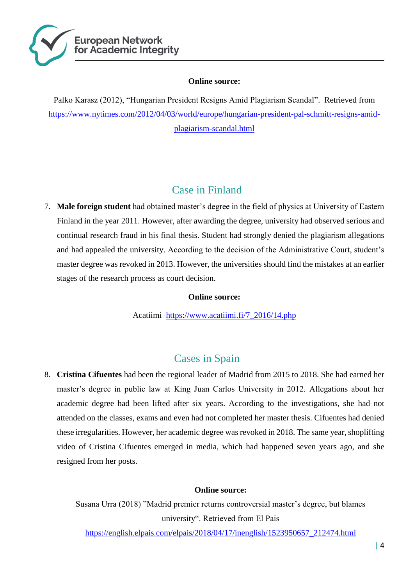

#### **Online source:**

Palko Karasz (2012), "Hungarian President Resigns Amid Plagiarism Scandal". Retrieved from [https://www.nytimes.com/2012/04/03/world/europe/hungarian-president-pal-schmitt-resigns-amid](https://www.nytimes.com/2012/04/03/world/europe/hungarian-president-pal-schmitt-resigns-amid-plagiarism-scandal.html)[plagiarism-scandal.html](https://www.nytimes.com/2012/04/03/world/europe/hungarian-president-pal-schmitt-resigns-amid-plagiarism-scandal.html)

# Case in Finland

7. **Male foreign student** had obtained master's degree in the field of physics at University of Eastern Finland in the year 2011. However, after awarding the degree, university had observed serious and continual research fraud in his final thesis. Student had strongly denied the plagiarism allegations and had appealed the university. According to the decision of the Administrative Court, student's master degree was revoked in 2013. However, the universities should find the mistakes at an earlier stages of the research process as court decision.

#### **Online source:**

Acatiimi [https://www.acatiimi.fi/7\\_2016/14.php](https://www.acatiimi.fi/7_2016/14.php)

# Cases in Spain

8. **Cristina Cifuentes** had been the regional leader of Madrid from 2015 to 2018. She had earned her master's degree in public law at King Juan Carlos University in 2012. Allegations about her academic degree had been lifted after six years. According to the investigations, she had not attended on the classes, exams and even had not completed her master thesis. Cifuentes had denied these irregularities. However, her academic degree was revoked in 2018. The same year, shoplifting video of Cristina Cifuentes emerged in media, which had happened seven years ago, and she resigned from her posts.

#### **Online source:**

Susana Urra (2018) "Madrid premier returns controversial master's degree, but blames university". Retrieved from El Pais

[https://english.elpais.com/elpais/2018/04/17/inenglish/1523950657\\_212474.html](https://english.elpais.com/elpais/2018/04/17/inenglish/1523950657_212474.html)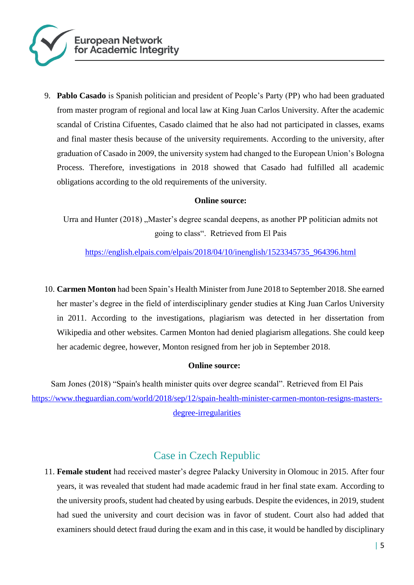

9. **Pablo Casado** is Spanish politician and president of People's Party (PP) who had been graduated from master program of regional and local law at King Juan Carlos University. After the academic scandal of Cristina Cifuentes, Casado claimed that he also had not participated in classes, exams and final master thesis because of the university requirements. According to the university, after graduation of Casado in 2009, the university system had changed to the European Union's Bologna Process. Therefore, investigations in 2018 showed that Casado had fulfilled all academic obligations according to the old requirements of the university.

#### **Online source:**

Urra and Hunter (2018), Master's degree scandal deepens, as another PP politician admits not going to class". Retrieved from El Pais

[https://english.elpais.com/elpais/2018/04/10/inenglish/1523345735\\_964396.html](https://english.elpais.com/elpais/2018/04/10/inenglish/1523345735_964396.html)

10. **Carmen Monton** had been Spain's Health Minister from June 2018 to September 2018. She earned her master's degree in the field of interdisciplinary gender studies at King Juan Carlos University in 2011. According to the investigations, plagiarism was detected in her dissertation from Wikipedia and other websites. Carmen Monton had denied plagiarism allegations. She could keep her academic degree, however, Monton resigned from her job in September 2018.

#### **Online source:**

Sam Jones (2018) "Spain's health minister quits over degree scandal". Retrieved from El Pais [https://www.theguardian.com/world/2018/sep/12/spain-health-minister-carmen-monton-resigns-masters](https://www.theguardian.com/world/2018/sep/12/spain-health-minister-carmen-monton-resigns-masters-degree-irregularities)[degree-irregularities](https://www.theguardian.com/world/2018/sep/12/spain-health-minister-carmen-monton-resigns-masters-degree-irregularities)

## Case in Czech Republic

11. **Female student** had received master's degree Palacky University in Olomouc in 2015. After four years, it was revealed that student had made academic fraud in her final state exam. According to the university proofs, student had cheated by using earbuds. Despite the evidences, in 2019, student had sued the university and court decision was in favor of student. Court also had added that examiners should detect fraud during the exam and in this case, it would be handled by disciplinary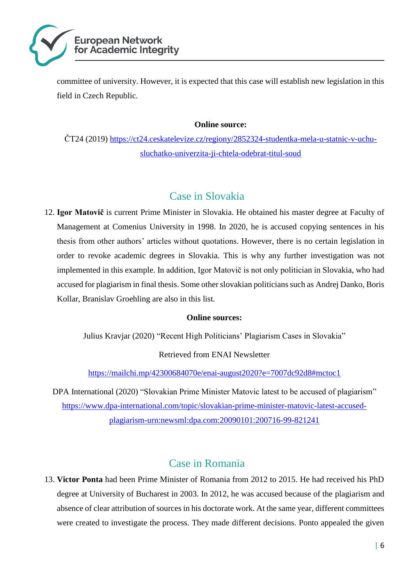

committee of university. However, it is expected that this case will establish new legislation in this field in Czech Republic.

#### **Online source:**

ČT24 (2019) [https://ct24.ceskatelevize.cz/regiony/2852324-studentka-mela-u-statnic-v-uchu](https://ct24.ceskatelevize.cz/regiony/2852324-studentka-mela-u-statnic-v-uchu-sluchatko-univerzita-ji-chtela-odebrat-titul-soud)[sluchatko-univerzita-ji-chtela-odebrat-titul-soud](https://ct24.ceskatelevize.cz/regiony/2852324-studentka-mela-u-statnic-v-uchu-sluchatko-univerzita-ji-chtela-odebrat-titul-soud)

### Case in Slovakia

12. **Igor Matovič** is current Prime Minister in Slovakia. He obtained his master degree at Faculty of Management at Comenius University in 1998. In 2020, he is accused copying sentences in his thesis from other authors' articles without quotations. However, there is no certain legislation in order to revoke academic degrees in Slovakia. This is why any further investigation was not implemented in this example. In addition, Igor Matovič is not only politician in Slovakia, who had accused for plagiarism in final thesis. Some other slovakian politicians such as Andrej Danko, Boris Kollar, Branislav Groehling are also in this list.

#### **Online sources:**

Julius Kravjar (2020) "Recent High Politicians' Plagiarism Cases in Slovakia"

Retrieved from ENAI Newsletter

<https://mailchi.mp/42300684070e/enai-august2020?e=7007dc92d8#mctoc1>

DPA International (2020) "Slovakian Prime Minister Matovic latest to be accused of plagiarism" [https://www.dpa-international.com/topic/slovakian-prime-minister-matovic-latest-accused](https://www.dpa-international.com/topic/slovakian-prime-minister-matovic-latest-accused-plagiarism-urn:newsml:dpa.com:20090101:200716-99-821241)[plagiarism-urn:newsml:dpa.com:20090101:200716-99-821241](https://www.dpa-international.com/topic/slovakian-prime-minister-matovic-latest-accused-plagiarism-urn:newsml:dpa.com:20090101:200716-99-821241)

## Case in Romania

13. **Victor Ponta** had been Prime Minister of Romania from 2012 to 2015. He had received his PhD degree at University of Bucharest in 2003. In 2012, he was accused because of the plagiarism and absence of clear attribution of sources in his doctorate work. At the same year, different committees were created to investigate the process. They made different decisions. Ponto appealed the given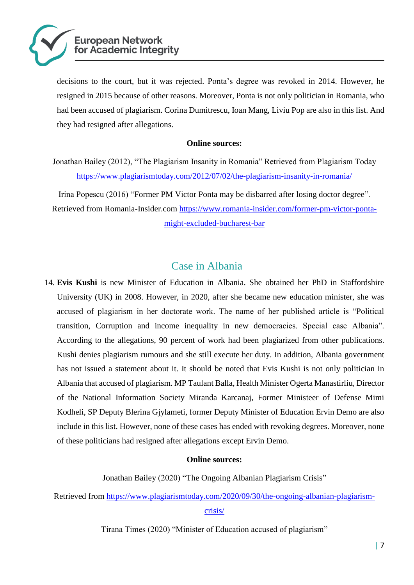

decisions to the court, but it was rejected. Ponta's degree was revoked in 2014. However, he resigned in 2015 because of other reasons. Moreover, Ponta is not only politician in Romania, who had been accused of plagiarism. Corina Dumitrescu, Ioan Mang, Liviu Pop are also in this list. And they had resigned after allegations.

#### **Online sources:**

Jonathan Bailey (2012), "The Plagiarism Insanity in Romania" Retrieved from Plagiarism Today <https://www.plagiarismtoday.com/2012/07/02/the-plagiarism-insanity-in-romania/>

Irina Popescu (2016) "Former PM Victor Ponta may be disbarred after losing doctor degree". Retrieved from Romania-Insider.com [https://www.romania-insider.com/former-pm-victor-ponta](https://www.romania-insider.com/former-pm-victor-ponta-might-excluded-bucharest-bar)[might-excluded-bucharest-bar](https://www.romania-insider.com/former-pm-victor-ponta-might-excluded-bucharest-bar)

### Case in Albania

14. **Evis Kushi** is new Minister of Education in Albania. She obtained her PhD in Staffordshire University (UK) in 2008. However, in 2020, after she became new education minister, she was accused of plagiarism in her doctorate work. The name of her published article is "Political transition, Corruption and income inequality in new democracies. Special case Albania". According to the allegations, 90 percent of work had been plagiarized from other publications. Kushi denies plagiarism rumours and she still execute her duty. In addition, Albania government has not issued a statement about it. It should be noted that Evis Kushi is not only politician in Albania that accused of plagiarism. MP Taulant Balla, Health Minister Ogerta Manastirliu, Director of the National Information Society Miranda Karcanaj, Former Ministeer of Defense Mimi Kodheli, SP Deputy Blerina Gjylameti, former Deputy Minister of Education Ervin Demo are also include in this list. However, none of these cases has ended with revoking degrees. Moreover, none of these politicians had resigned after allegations except Ervin Demo.

#### **Online sources:**

Jonathan Bailey (2020) "The Ongoing Albanian Plagiarism Crisis"

Retrieved from [https://www.plagiarismtoday.com/2020/09/30/the-ongoing-albanian-plagiarism](https://www.plagiarismtoday.com/2020/09/30/the-ongoing-albanian-plagiarism-crisis/)[crisis/](https://www.plagiarismtoday.com/2020/09/30/the-ongoing-albanian-plagiarism-crisis/)

Tirana Times (2020) "Minister of Education accused of plagiarism"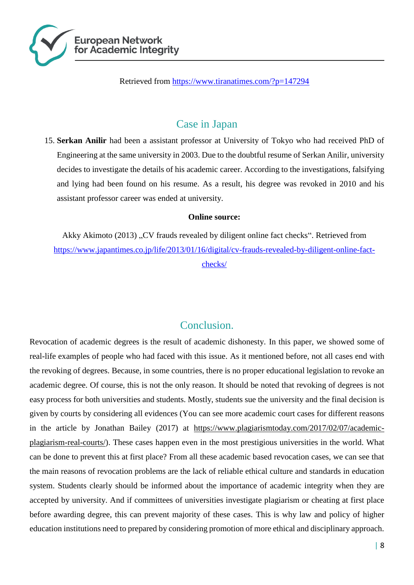

Retrieved from<https://www.tiranatimes.com/?p=147294>

### Case in Japan

15. **Serkan Anilir** had been a assistant professor at University of Tokyo who had received PhD of Engineering at the same university in 2003. Due to the doubtful resume of Serkan Anilir, university decides to investigate the details of his academic career. According to the investigations, falsifying and lying had been found on his resume. As a result, his degree was revoked in 2010 and his assistant professor career was ended at university.

#### **Online source:**

Akky Akimoto (2013) "CV frauds revealed by diligent online fact checks". Retrieved from [https://www.japantimes.co.jp/life/2013/01/16/digital/cv-frauds-revealed-by-diligent-online-fact](https://www.japantimes.co.jp/life/2013/01/16/digital/cv-frauds-revealed-by-diligent-online-fact-checks/)[checks/](https://www.japantimes.co.jp/life/2013/01/16/digital/cv-frauds-revealed-by-diligent-online-fact-checks/)

## Conclusion.

Revocation of academic degrees is the result of academic dishonesty. In this paper, we showed some of real-life examples of people who had faced with this issue. As it mentioned before, not all cases end with the revoking of degrees. Because, in some countries, there is no proper educational legislation to revoke an academic degree. Of course, this is not the only reason. It should be noted that revoking of degrees is not easy process for both universities and students. Mostly, students sue the university and the final decision is given by courts by considering all evidences (You can see more academic court cases for different reasons in the article by Jonathan Bailey (2017) at https://www.plagiarismtoday.com/2017/02/07/academicplagiarism-real-courts/). These cases happen even in the most prestigious universities in the world. What can be done to prevent this at first place? From all these academic based revocation cases, we can see that the main reasons of revocation problems are the lack of reliable ethical culture and standards in education system. Students clearly should be informed about the importance of academic integrity when they are accepted by university. And if committees of universities investigate plagiarism or cheating at first place before awarding degree, this can prevent majority of these cases. This is why law and policy of higher education institutions need to prepared by considering promotion of more ethical and disciplinary approach.